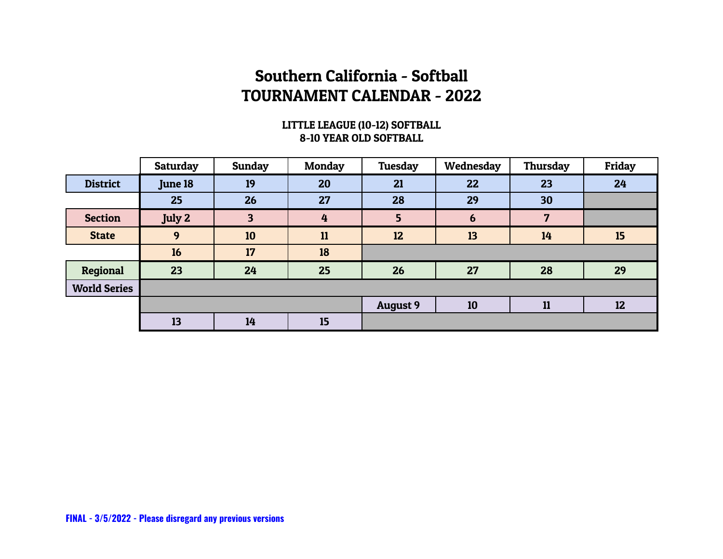#### LITTLE LEAGUE (10-12) SOFTBALL 8-10 YEAR OLD SOFTBALL

|                     | <b>Saturday</b> | <b>Sunday</b> | <b>Monday</b> | Tuesday         | Wednesday | Thursday | Friday |
|---------------------|-----------------|---------------|---------------|-----------------|-----------|----------|--------|
| <b>District</b>     | June 18         | 19            | 20            | 21              | 22        | 23       | 24     |
|                     | 25              | 26            | 27            | 28              | 29        | 30       |        |
| <b>Section</b>      | July 2          | 3             | 4             | 5               | 6         | 7        |        |
| <b>State</b>        | 9               | 10            | 11            | 12              | 13        | 14       | 15     |
|                     | 16              | 17            | 18            |                 |           |          |        |
| Regional            | 23              | 24            | 25            | 26              | 27        | 28       | 29     |
| <b>World Series</b> |                 |               |               |                 |           |          |        |
|                     |                 |               |               | <b>August 9</b> | 10        | 11       | 12     |
|                     | 13              | 14            | 15            |                 |           |          |        |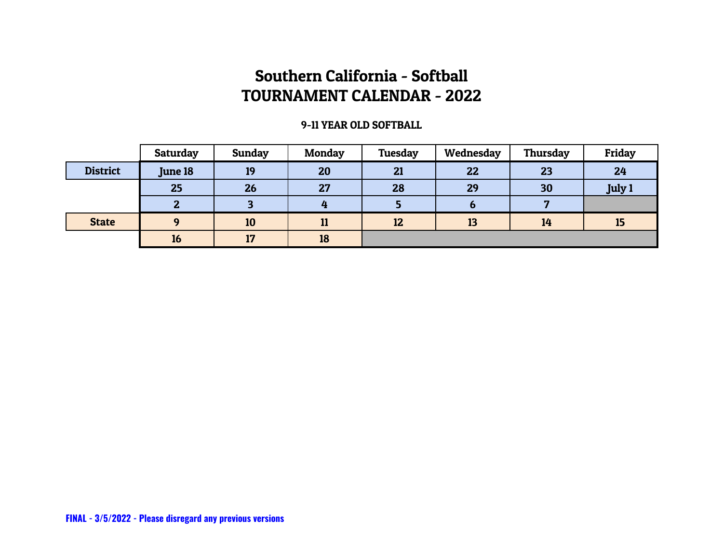#### 9-11 YEAR OLD SOFTBALL

|                 | Saturday | Sunday | <b>Monday</b> | Tuesday | Wednesday | Thursday | Friday        |
|-----------------|----------|--------|---------------|---------|-----------|----------|---------------|
| <b>District</b> | June 18  | 19     | 20            | 21      | 22        | 23       | 24            |
|                 | 25       | 26     | 27            | 28      | 29        | 30       | <b>July 1</b> |
|                 | כי<br>æ. |        | 4             |         |           |          |               |
| <b>State</b>    | $\Omega$ | 10     | 11            | 12      | 13        | 14       | 15            |
|                 | 16       | 17     | 18            |         |           |          |               |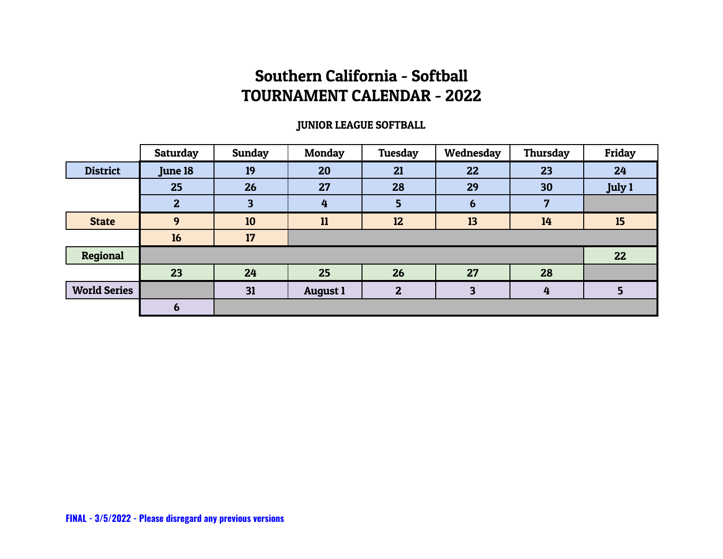#### JUNIOR LEAGUE SOFTBALL

|                     | <b>Saturday</b> | <b>Sunday</b> | <b>Monday</b>   | Tuesday      | Wednesday | Thursday | Friday        |
|---------------------|-----------------|---------------|-----------------|--------------|-----------|----------|---------------|
| <b>District</b>     | <b>June 18</b>  | 19            | 20              | 21           | 22        | 23       | 24            |
|                     | 25              | 26            | 27              | 28           | 29        | 30       | <b>July 1</b> |
|                     | $\overline{2}$  | 3             | $\overline{4}$  | 5            | 6         | 7        |               |
| <b>State</b>        | 9               | 10            | 11              | 12           | 13        | 14       | 15            |
|                     | 16              | 17            |                 |              |           |          |               |
| Regional            |                 |               |                 |              |           |          | 22            |
|                     | 23              | 24            | 25              | 26           | 27        | 28       |               |
| <b>World Series</b> |                 | 31            | <b>August 1</b> | $\mathbf{2}$ | 3         | 4        |               |
|                     | b               |               |                 |              |           |          |               |